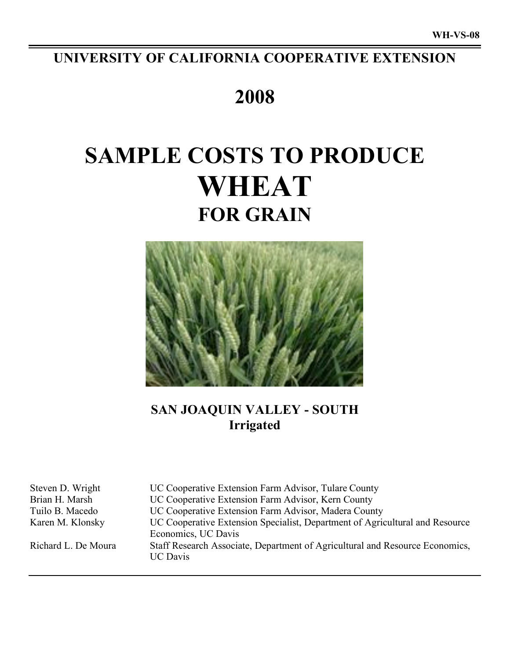# **UNIVERSITY OF CALIFORNIA COOPERATIVE EXTENSION**

# **2008**

# **SAMPLE COSTS TO PRODUCE WHEAT FOR GRAIN**



# **SAN JOAQUIN VALLEY - SOUTH Irrigated**

Steven D. Wright UC Cooperative Extension Farm Advisor, Tulare County Brian H. Marsh UC Cooperative Extension Farm Advisor, Kern County Tuilo B. Macedo UC Cooperative Extension Farm Advisor, Madera County Karen M. Klonsky UC Cooperative Extension Specialist, Department of Agricultural and Resource Economics, UC Davis Richard L. De Moura Staff Research Associate, Department of Agricultural and Resource Economics, UC Davis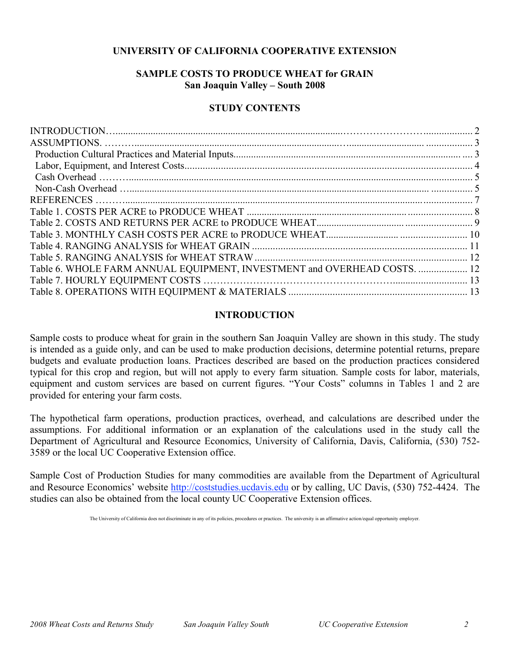# **UNIVERSITY OF CALIFORNIA COOPERATIVE EXTENSION**

# **SAMPLE COSTS TO PRODUCE WHEAT for GRAIN San Joaquin Valley – South 2008**

## **STUDY CONTENTS**

| Table 6. WHOLE FARM ANNUAL EQUIPMENT, INVESTMENT and OVERHEAD COSTS.  12 |  |
|--------------------------------------------------------------------------|--|
|                                                                          |  |
|                                                                          |  |

## **INTRODUCTION**

Sample costs to produce wheat for grain in the southern San Joaquin Valley are shown in this study. The study is intended as a guide only, and can be used to make production decisions, determine potential returns, prepare budgets and evaluate production loans. Practices described are based on the production practices considered typical for this crop and region, but will not apply to every farm situation. Sample costs for labor, materials, equipment and custom services are based on current figures. "Your Costs" columns in Tables 1 and 2 are provided for entering your farm costs.

The hypothetical farm operations, production practices, overhead, and calculations are described under the assumptions. For additional information or an explanation of the calculations used in the study call the Department of Agricultural and Resource Economics, University of California, Davis, California, (530) 752- 3589 or the local UC Cooperative Extension office.

Sample Cost of Production Studies for many commodities are available from the Department of Agricultural and Resource Economics' website http://coststudies.ucdavis.edu or by calling, UC Davis, (530) 752-4424. The studies can also be obtained from the local county UC Cooperative Extension offices.

The University of California does not discriminate in any of its policies, procedures or practices. The university is an affirmative action/equal opportunity employer.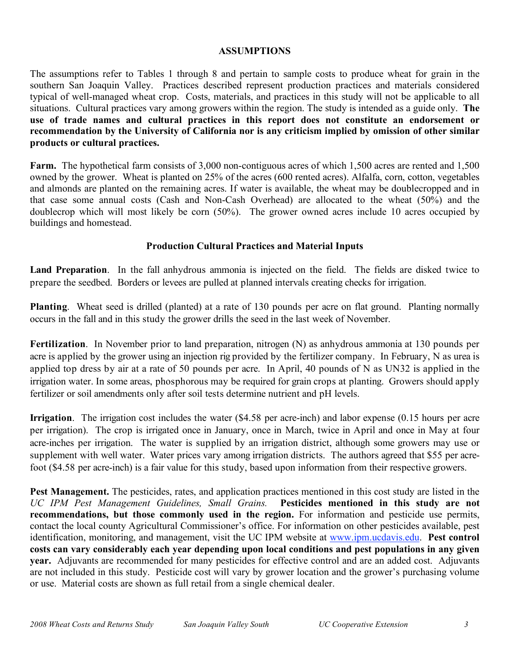## **ASSUMPTIONS**

The assumptions refer to Tables 1 through 8 and pertain to sample costs to produce wheat for grain in the southern San Joaquin Valley. Practices described represent production practices and materials considered typical of well-managed wheat crop. Costs, materials, and practices in this study will not be applicable to all situations. Cultural practices vary among growers within the region. The study is intended as a guide only. **The use of trade names and cultural practices in this report does not constitute an endorsement or recommendation by the University of California nor is any criticism implied by omission of other similar products or cultural practices.**

**Farm.** The hypothetical farm consists of 3,000 non-contiguous acres of which 1,500 acres are rented and 1,500 owned by the grower. Wheat is planted on 25% of the acres (600 rented acres). Alfalfa, corn, cotton, vegetables and almonds are planted on the remaining acres. If water is available, the wheat may be doublecropped and in that case some annual costs (Cash and Non-Cash Overhead) are allocated to the wheat (50%) and the doublecrop which will most likely be corn (50%). The grower owned acres include 10 acres occupied by buildings and homestead.

# **Production Cultural Practices and Material Inputs**

**Land Preparation**. In the fall anhydrous ammonia is injected on the field. The fields are disked twice to prepare the seedbed. Borders or levees are pulled at planned intervals creating checks for irrigation.

**Planting**. Wheat seed is drilled (planted) at a rate of 130 pounds per acre on flat ground. Planting normally occurs in the fall and in this study the grower drills the seed in the last week of November.

**Fertilization**. In November prior to land preparation, nitrogen (N) as anhydrous ammonia at 130 pounds per acre is applied by the grower using an injection rig provided by the fertilizer company. In February, N as urea is applied top dress by air at a rate of 50 pounds per acre. In April, 40 pounds of N as UN32 is applied in the irrigation water. In some areas, phosphorous may be required for grain crops at planting. Growers should apply fertilizer or soil amendments only after soil tests determine nutrient and pH levels.

**Irrigation**. The irrigation cost includes the water (\$4.58 per acre-inch) and labor expense (0.15 hours per acre per irrigation). The crop is irrigated once in January, once in March, twice in April and once in May at four acre-inches per irrigation. The water is supplied by an irrigation district, although some growers may use or supplement with well water. Water prices vary among irrigation districts. The authors agreed that \$55 per acrefoot (\$4.58 per acre-inch) is a fair value for this study, based upon information from their respective growers.

**Pest Management.** The pesticides, rates, and application practices mentioned in this cost study are listed in the *UC IPM Pest Management Guidelines, Small Grains.* **Pesticides mentioned in this study are not recommendations, but those commonly used in the region.** For information and pesticide use permits, contact the local county Agricultural Commissioner's office. For information on other pesticides available, pest identification, monitoring, and management, visit the UC IPM website at www.ipm.ucdavis.edu. **Pest control costs can vary considerably each year depending upon local conditions and pest populations in any given year.** Adjuvants are recommended for many pesticides for effective control and are an added cost. Adjuvants are not included in this study. Pesticide cost will vary by grower location and the grower's purchasing volume or use. Material costs are shown as full retail from a single chemical dealer.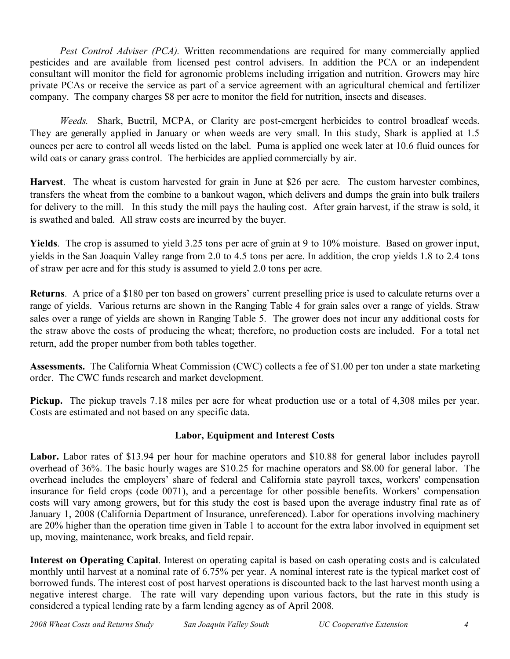*Pest Control Adviser (PCA).* Written recommendations are required for many commercially applied pesticides and are available from licensed pest control advisers. In addition the PCA or an independent consultant will monitor the field for agronomic problems including irrigation and nutrition. Growers may hire private PCAs or receive the service as part of a service agreement with an agricultural chemical and fertilizer company. The company charges \$8 per acre to monitor the field for nutrition, insects and diseases.

*Weeds.* Shark, Buctril, MCPA, or Clarity are post-emergent herbicides to control broadleaf weeds. They are generally applied in January or when weeds are very small. In this study, Shark is applied at 1.5 ounces per acre to control all weeds listed on the label. Puma is applied one week later at 10.6 fluid ounces for wild oats or canary grass control. The herbicides are applied commercially by air.

**Harvest**. The wheat is custom harvested for grain in June at \$26 per acre. The custom harvester combines, transfers the wheat from the combine to a bankout wagon, which delivers and dumps the grain into bulk trailers for delivery to the mill. In this study the mill pays the hauling cost. After grain harvest, if the straw is sold, it is swathed and baled. All straw costs are incurred by the buyer.

**Yields**. The crop is assumed to yield 3.25 tons per acre of grain at 9 to 10% moisture. Based on grower input, yields in the San Joaquin Valley range from 2.0 to 4.5 tons per acre. In addition, the crop yields 1.8 to 2.4 tons of straw per acre and for this study is assumed to yield 2.0 tons per acre.

**Returns**. A price of a \$180 per ton based on growers' current preselling price is used to calculate returns over a range of yields. Various returns are shown in the Ranging Table 4 for grain sales over a range of yields. Straw sales over a range of yields are shown in Ranging Table 5. The grower does not incur any additional costs for the straw above the costs of producing the wheat; therefore, no production costs are included. For a total net return, add the proper number from both tables together.

**Assessments.** The California Wheat Commission (CWC) collects a fee of \$1.00 per ton under a state marketing order. The CWC funds research and market development.

**Pickup.** The pickup travels 7.18 miles per acre for wheat production use or a total of 4,308 miles per year. Costs are estimated and not based on any specific data.

# **Labor, Equipment and Interest Costs**

Labor. Labor rates of \$13.94 per hour for machine operators and \$10.88 for general labor includes payroll overhead of 36%. The basic hourly wages are \$10.25 for machine operators and \$8.00 for general labor. The overhead includes the employers' share of federal and California state payroll taxes, workers' compensation insurance for field crops (code 0071), and a percentage for other possible benefits. Workers' compensation costs will vary among growers, but for this study the cost is based upon the average industry final rate as of January 1, 2008 (California Department of Insurance, unreferenced). Labor for operations involving machinery are 20% higher than the operation time given in Table 1 to account for the extra labor involved in equipment set up, moving, maintenance, work breaks, and field repair.

**Interest on Operating Capital**. Interest on operating capital is based on cash operating costs and is calculated monthly until harvest at a nominal rate of 6.75% per year. A nominal interest rate is the typical market cost of borrowed funds. The interest cost of post harvest operations is discounted back to the last harvest month using a negative interest charge. The rate will vary depending upon various factors, but the rate in this study is considered a typical lending rate by a farm lending agency as of April 2008.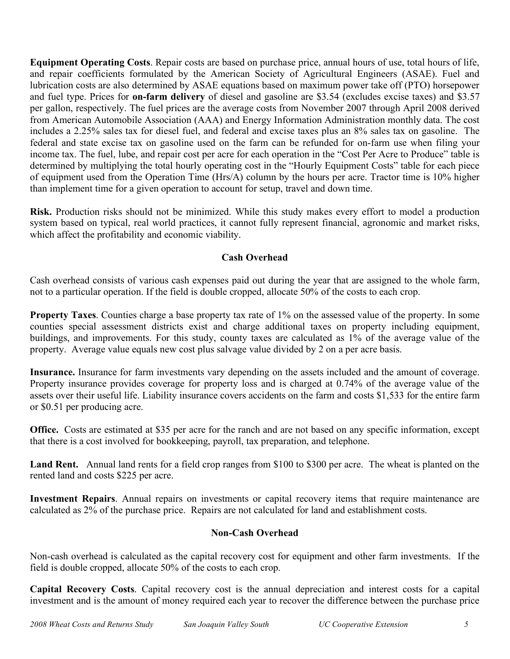**Equipment Operating Costs**. Repair costs are based on purchase price, annual hours of use, total hours of life, and repair coefficients formulated by the American Society of Agricultural Engineers (ASAE). Fuel and lubrication costs are also determined by ASAE equations based on maximum power take off (PTO) horsepower and fuel type. Prices for **on-farm delivery** of diesel and gasoline are \$3.54 (excludes excise taxes) and \$3.57 per gallon, respectively. The fuel prices are the average costs from November 2007 through April 2008 derived from American Automobile Association (AAA) and Energy Information Administration monthly data. The cost includes a 2.25% sales tax for diesel fuel, and federal and excise taxes plus an 8% sales tax on gasoline. The federal and state excise tax on gasoline used on the farm can be refunded for on-farm use when filing your income tax. The fuel, lube, and repair cost per acre for each operation in the "Cost Per Acre to Produce" table is determined by multiplying the total hourly operating cost in the "Hourly Equipment Costs" table for each piece of equipment used from the Operation Time (Hrs/A) column by the hours per acre. Tractor time is 10% higher than implement time for a given operation to account for setup, travel and down time.

**Risk.** Production risks should not be minimized. While this study makes every effort to model a production system based on typical, real world practices, it cannot fully represent financial, agronomic and market risks, which affect the profitability and economic viability.

# **Cash Overhead**

Cash overhead consists of various cash expenses paid out during the year that are assigned to the whole farm, not to a particular operation. If the field is double cropped, allocate 50% of the costs to each crop.

**Property Taxes**. Counties charge a base property tax rate of 1% on the assessed value of the property. In some counties special assessment districts exist and charge additional taxes on property including equipment, buildings, and improvements. For this study, county taxes are calculated as 1% of the average value of the property. Average value equals new cost plus salvage value divided by 2 on a per acre basis.

**Insurance.** Insurance for farm investments vary depending on the assets included and the amount of coverage. Property insurance provides coverage for property loss and is charged at 0.74% of the average value of the assets over their useful life. Liability insurance covers accidents on the farm and costs \$1,533 for the entire farm or \$0.51 per producing acre.

**Office.** Costs are estimated at \$35 per acre for the ranch and are not based on any specific information, except that there is a cost involved for bookkeeping, payroll, tax preparation, and telephone.

**Land Rent.** Annual land rents for a field crop ranges from \$100 to \$300 per acre. The wheat is planted on the rented land and costs \$225 per acre.

**Investment Repairs**. Annual repairs on investments or capital recovery items that require maintenance are calculated as 2% of the purchase price. Repairs are not calculated for land and establishment costs.

# **Non-Cash Overhead**

Non-cash overhead is calculated as the capital recovery cost for equipment and other farm investments. If the field is double cropped, allocate 50% of the costs to each crop.

**Capital Recovery Costs**. Capital recovery cost is the annual depreciation and interest costs for a capital investment and is the amount of money required each year to recover the difference between the purchase price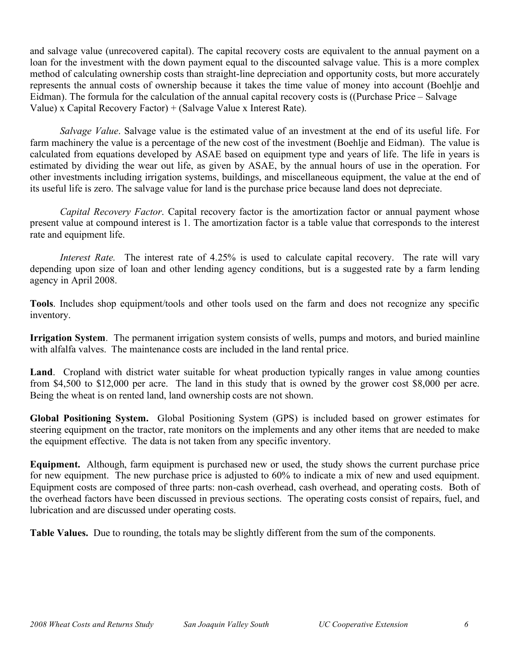and salvage value (unrecovered capital). The capital recovery costs are equivalent to the annual payment on a loan for the investment with the down payment equal to the discounted salvage value. This is a more complex method of calculating ownership costs than straight-line depreciation and opportunity costs, but more accurately represents the annual costs of ownership because it takes the time value of money into account (Boehlje and Eidman). The formula for the calculation of the annual capital recovery costs is ((Purchase Price – Salvage Value) x Capital Recovery Factor) + (Salvage Value x Interest Rate).

*Salvage Value*. Salvage value is the estimated value of an investment at the end of its useful life. For farm machinery the value is a percentage of the new cost of the investment (Boehlje and Eidman). The value is calculated from equations developed by ASAE based on equipment type and years of life. The life in years is estimated by dividing the wear out life, as given by ASAE, by the annual hours of use in the operation. For other investments including irrigation systems, buildings, and miscellaneous equipment, the value at the end of its useful life is zero. The salvage value for land is the purchase price because land does not depreciate.

*Capital Recovery Factor*. Capital recovery factor is the amortization factor or annual payment whose present value at compound interest is 1. The amortization factor is a table value that corresponds to the interest rate and equipment life.

*Interest Rate.* The interest rate of 4.25% is used to calculate capital recovery. The rate will vary depending upon size of loan and other lending agency conditions, but is a suggested rate by a farm lending agency in April 2008.

**Tools**. Includes shop equipment/tools and other tools used on the farm and does not recognize any specific inventory.

**Irrigation System**. The permanent irrigation system consists of wells, pumps and motors, and buried mainline with alfalfa valves. The maintenance costs are included in the land rental price.

**Land**. Cropland with district water suitable for wheat production typically ranges in value among counties from \$4,500 to \$12,000 per acre. The land in this study that is owned by the grower cost \$8,000 per acre. Being the wheat is on rented land, land ownership costs are not shown.

**Global Positioning System.** Global Positioning System (GPS) is included based on grower estimates for steering equipment on the tractor, rate monitors on the implements and any other items that are needed to make the equipment effective. The data is not taken from any specific inventory.

**Equipment.** Although, farm equipment is purchased new or used, the study shows the current purchase price for new equipment. The new purchase price is adjusted to 60% to indicate a mix of new and used equipment. Equipment costs are composed of three parts: non-cash overhead, cash overhead, and operating costs. Both of the overhead factors have been discussed in previous sections. The operating costs consist of repairs, fuel, and lubrication and are discussed under operating costs.

**Table Values.** Due to rounding, the totals may be slightly different from the sum of the components.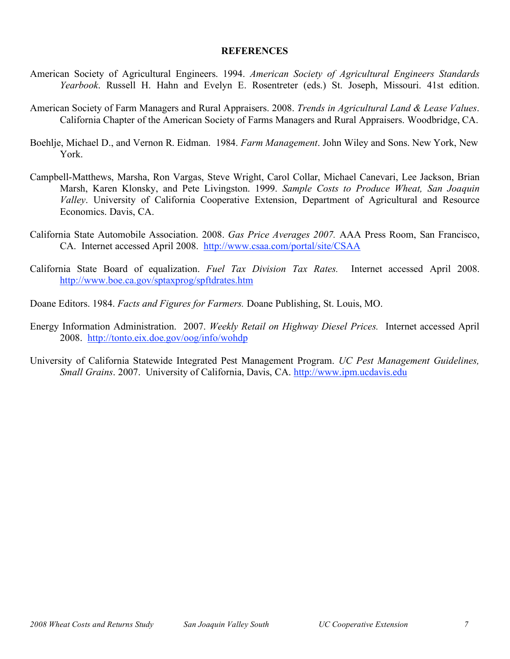### **REFERENCES**

- American Society of Agricultural Engineers. 1994. *American Society of Agricultural Engineers Standards Yearbook*. Russell H. Hahn and Evelyn E. Rosentreter (eds.) St. Joseph, Missouri. 41st edition.
- American Society of Farm Managers and Rural Appraisers. 2008. *Trends in Agricultural Land & Lease Values*. California Chapter of the American Society of Farms Managers and Rural Appraisers. Woodbridge, CA.
- Boehlje, Michael D., and Vernon R. Eidman. 1984. *Farm Management*. John Wiley and Sons. New York, New York.
- Campbell-Matthews, Marsha, Ron Vargas, Steve Wright, Carol Collar, Michael Canevari, Lee Jackson, Brian Marsh, Karen Klonsky, and Pete Livingston. 1999. *Sample Costs to Produce Wheat, San Joaquin Valley*. University of California Cooperative Extension, Department of Agricultural and Resource Economics. Davis, CA.
- California State Automobile Association. 2008. *Gas Price Averages 2007.* AAA Press Room, San Francisco, CA. Internet accessed April 2008. http://www.csaa.com/portal/site/CSAA
- California State Board of equalization. *Fuel Tax Division Tax Rates.* Internet accessed April 2008. http://www.boe.ca.gov/sptaxprog/spftdrates.htm
- Doane Editors. 1984. *Facts and Figures for Farmers.* Doane Publishing, St. Louis, MO.
- Energy Information Administration. 2007. *Weekly Retail on Highway Diesel Prices.* Internet accessed April 2008. http://tonto.eix.doe.gov/oog/info/wohdp
- University of California Statewide Integrated Pest Management Program. *UC Pest Management Guidelines, Small Grains*. 2007. University of California, Davis, CA. http://www.ipm.ucdavis.edu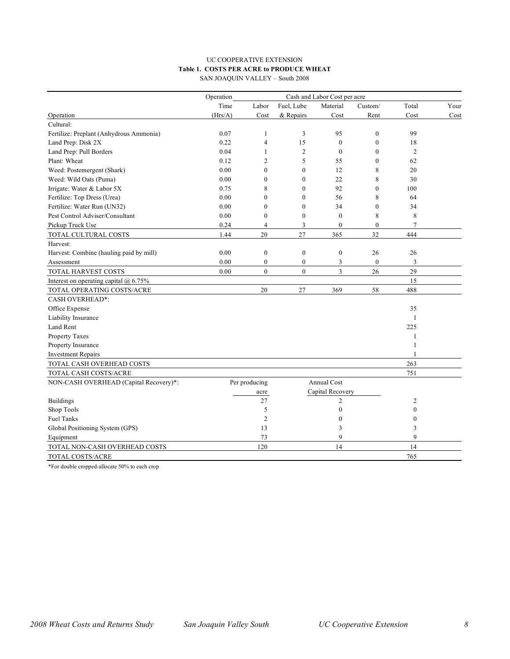#### UC COOPERATIVE EXTENSION **Table 1. COSTS PER ACRE to PRODUCE WHEAT** SAN JOAQUIN VALLEY – South 2008

|                                           | Operation<br>Cash and Labor Cost per acre |                  |                  |                    |                  |                  |      |  |
|-------------------------------------------|-------------------------------------------|------------------|------------------|--------------------|------------------|------------------|------|--|
|                                           | Time                                      | Labor            | Fuel, Lube       | Material           | Custom/          | Total            | Your |  |
| Operation                                 | (Hrs/A)                                   | Cost             | & Repairs        | Cost               | Rent             | Cost             | Cost |  |
| Cultural:                                 |                                           |                  |                  |                    |                  |                  |      |  |
| Fertilize: Preplant (Anhydrous Ammonia)   | 0.07                                      | 1                | 3                | 95                 | $\mathbf{0}$     | 99               |      |  |
| Land Prep: Disk 2X                        | 0.22                                      | 4                | 15               | $\mathbf{0}$       | $\mathbf{0}$     | 18               |      |  |
| Land Prep: Pull Borders                   | 0.04                                      | 1                | $\mathfrak{2}$   | $\mathbf{0}$       | $\Omega$         | $\overline{2}$   |      |  |
| Plant: Wheat                              | 0.12                                      | $\overline{c}$   | 5                | 55                 | $\theta$         | 62               |      |  |
| Weed: Postemergent (Shark)                | 0.00                                      | $\mathbf{0}$     | $\mathbf{0}$     | 12                 | 8                | 20               |      |  |
| Weed: Wild Oats (Puma)                    | 0.00                                      | $\mathbf{0}$     | $\mathbf{0}$     | 22                 | 8                | 30               |      |  |
| Irrigate: Water & Labor 5X                | 0.75                                      | 8                | $\mathbf{0}$     | 92                 | $\theta$         | 100              |      |  |
| Fertilize: Top Dress (Urea)               | 0.00                                      | $\mathbf{0}$     | $\mathbf{0}$     | 56                 | 8                | 64               |      |  |
| Fertilize: Water Run (UN32)               | 0.00                                      | $\theta$         | $\mathbf{0}$     | 34                 | $\theta$         | 34               |      |  |
| Pest Control Adviser/Consultant           | 0.00                                      | $\mathbf{0}$     | $\boldsymbol{0}$ | $\mathbf{0}$       | 8                | 8                |      |  |
| Pickup Truck Use                          | 0.24                                      | $\overline{4}$   | 3                | $\mathbf{0}$       | $\boldsymbol{0}$ | $\tau$           |      |  |
| TOTAL CULTURAL COSTS                      | 1.44                                      | 20               | 27               | 365                | 32               | 444              |      |  |
| Harvest:                                  |                                           |                  |                  |                    |                  |                  |      |  |
| Harvest: Combine (hauling paid by mill)   | 0.00                                      | $\boldsymbol{0}$ | $\boldsymbol{0}$ | $\boldsymbol{0}$   | 26               | 26               |      |  |
| Assessment                                | 0.00                                      | $\boldsymbol{0}$ | $\boldsymbol{0}$ | $\mathfrak{Z}$     | $\boldsymbol{0}$ | 3                |      |  |
| TOTAL HARVEST COSTS                       | 0.00                                      | $\mathbf{0}$     | $\boldsymbol{0}$ | 3                  | 26               | 29               |      |  |
| Interest on operating capital $(a)$ 6.75% |                                           |                  |                  |                    |                  | 15               |      |  |
| TOTAL OPERATING COSTS/ACRE                |                                           | 20               | 27               | 369                | 58               | 488              |      |  |
| <b>CASH OVERHEAD*:</b>                    |                                           |                  |                  |                    |                  |                  |      |  |
| Office Expense                            |                                           |                  |                  |                    |                  | 35               |      |  |
| Liability Insurance                       |                                           |                  |                  |                    |                  | $\mathbf{1}$     |      |  |
| Land Rent                                 |                                           |                  |                  |                    |                  | 225              |      |  |
| Property Taxes                            |                                           |                  |                  |                    |                  | 1                |      |  |
| Property Insurance                        |                                           |                  |                  |                    |                  | 1                |      |  |
| <b>Investment Repairs</b>                 |                                           |                  |                  |                    |                  | 1                |      |  |
| TOTAL CASH OVERHEAD COSTS                 |                                           |                  |                  |                    |                  | 263              |      |  |
| TOTAL CASH COSTS/ACRE                     |                                           |                  |                  |                    |                  | 751              |      |  |
| NON-CASH OVERHEAD (Capital Recovery)*:    |                                           | Per producing    |                  | <b>Annual Cost</b> |                  |                  |      |  |
|                                           |                                           | acre             |                  | Capital Recovery   |                  |                  |      |  |
| <b>Buildings</b>                          |                                           | 27               |                  | $\overline{c}$     |                  | 2                |      |  |
| Shop Tools                                |                                           | 5                |                  | $\theta$           |                  | $\mathbf{0}$     |      |  |
| <b>Fuel Tanks</b>                         |                                           | $\overline{c}$   |                  | $\mathbf{0}$       |                  | $\boldsymbol{0}$ |      |  |
| Global Positioning System (GPS)           |                                           | 13               |                  | 3                  |                  | 3                |      |  |
| Equipment                                 |                                           | 73               |                  | 9                  |                  | 9                |      |  |
| TOTAL NON-CASH OVERHEAD COSTS             |                                           | 120              |                  | 14                 |                  | 14               |      |  |
| TOTAL COSTS/ACRE                          |                                           |                  |                  |                    |                  | 765              |      |  |

\*For double cropped-allocate 50% to each crop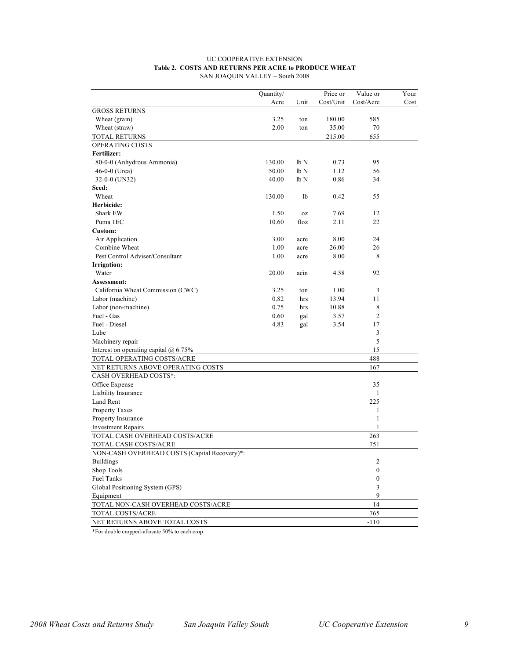| <b>UC COOPERATIVE EXTENSION</b>                      |
|------------------------------------------------------|
| Table 2. COSTS AND RETURNS PER ACRE to PRODUCE WHEAT |
| SAN JOAQUIN VALLEY – South 2008                      |

|                                              | Quantity/ |                 | Price or  | Value or                | Your |
|----------------------------------------------|-----------|-----------------|-----------|-------------------------|------|
|                                              | Acre      | Unit            | Cost/Unit | Cost/Acre               | Cost |
| <b>GROSS RETURNS</b>                         |           |                 |           |                         |      |
| Wheat (grain)                                | 3.25      | ton             | 180.00    | 585                     |      |
| Wheat (straw)                                | 2.00      | ton             | 35.00     | 70                      |      |
| TOTAL RETURNS                                |           |                 | 215.00    | 655                     |      |
| OPERATING COSTS                              |           |                 |           |                         |      |
| Fertilizer:                                  |           |                 |           |                         |      |
| 80-0-0 (Anhydrous Ammonia)                   | 130.00    | lb N            | 0.73      | 95                      |      |
| $46-0-0$ (Urea)                              | 50.00     | lb <sub>N</sub> | 1.12      | 56                      |      |
| 32-0-0 (UN32)                                | 40.00     | lb <sub>N</sub> | 0.86      | 34                      |      |
| Seed:                                        |           |                 |           |                         |      |
| Wheat                                        | 130.00    | lb              | 0.42      | 55                      |      |
| Herbicide:                                   |           |                 |           |                         |      |
| Shark EW                                     | 1.50      | 0Z              | 7.69      | 12                      |      |
| Puma 1EC                                     | 10.60     | floz            | 2.11      | 22                      |      |
| Custom:                                      |           |                 |           |                         |      |
| Air Application                              | 3.00      | acre            | 8.00      | 24                      |      |
| Combine Wheat                                | 1.00      | acre            | 26.00     | 26                      |      |
| Pest Control Adviser/Consultant              | 1.00      | acre            | 8.00      | 8                       |      |
| <b>Irrigation:</b>                           |           |                 |           |                         |      |
| Water                                        | 20.00     | acin            | 4.58      | 92                      |      |
| Assessment:                                  |           |                 |           |                         |      |
| California Wheat Commission (CWC)            | 3.25      | ton             | 1.00      | 3                       |      |
| Labor (machine)                              | 0.82      | hrs             | 13.94     | 11                      |      |
| Labor (non-machine)                          | 0.75      | hrs             | 10.88     | 8                       |      |
| Fuel - Gas                                   | 0.60      | gal             | 3.57      | $\overline{c}$          |      |
| Fuel - Diesel                                | 4.83      | gal             | 3.54      | 17                      |      |
| Lube                                         |           |                 |           | 3                       |      |
| Machinery repair                             |           |                 |           | 5                       |      |
| Interest on operating capital $@$ 6.75%      |           |                 |           | 15                      |      |
| TOTAL OPERATING COSTS/ACRE                   |           |                 |           | 488                     |      |
| NET RETURNS ABOVE OPERATING COSTS            |           |                 |           | 167                     |      |
| <b>CASH OVERHEAD COSTS*:</b>                 |           |                 |           |                         |      |
| Office Expense                               |           |                 |           | 35                      |      |
| Liability Insurance                          |           |                 |           | 1                       |      |
| Land Rent                                    |           |                 |           | 225                     |      |
| <b>Property Taxes</b>                        |           |                 |           | 1                       |      |
| Property Insurance                           |           |                 |           | 1                       |      |
| <b>Investment Repairs</b>                    |           |                 |           | 1                       |      |
| TOTAL CASH OVERHEAD COSTS/ACRE               |           |                 |           | 263                     |      |
| TOTAL CASH COSTS/ACRE                        |           |                 |           | 751                     |      |
| NON-CASH OVERHEAD COSTS (Capital Recovery)*: |           |                 |           |                         |      |
| Buildings                                    |           |                 |           | $\overline{\mathbf{c}}$ |      |
| Shop Tools                                   |           |                 |           | 0                       |      |
| Fuel Tanks                                   |           |                 |           | $\boldsymbol{0}$        |      |
| Global Positioning System (GPS)              |           |                 |           | 3                       |      |
| Equipment                                    |           |                 |           | 9                       |      |
| TOTAL NON-CASH OVERHEAD COSTS/ACRE           |           |                 |           | 14                      |      |
| TOTAL COSTS/ACRE                             |           |                 |           | 765                     |      |
| NET RETURNS ABOVE TOTAL COSTS                |           |                 |           | $-110$                  |      |

\*For double cropped-allocate 50% to each crop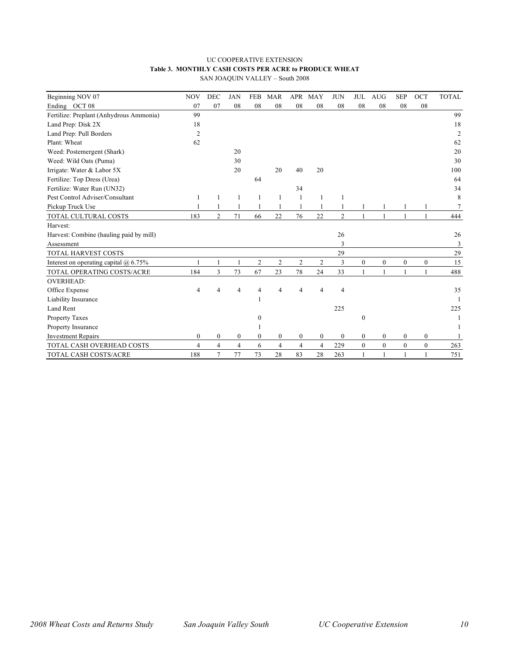#### UC COOPERATIVE EXTENSION **Table 3. MONTHLY CASH COSTS PER ACRE to PRODUCE WHEAT** SAN JOAQUIN VALLEY – South 2008

| Beginning NOV 07                          | <b>NOV</b>     | <b>DEC</b>     | <b>JAN</b>       | <b>FEB</b>       | <b>MAR</b>       | <b>APR</b>       | MAY      | <b>JUN</b>       | <b>JUL</b>       | <b>AUG</b>     | <b>SEP</b>       | OCT              | <b>TOTAL</b>   |
|-------------------------------------------|----------------|----------------|------------------|------------------|------------------|------------------|----------|------------------|------------------|----------------|------------------|------------------|----------------|
| Ending OCT 08                             | 07             | 07             | 08               | 08               | 08               | 08               | 08       | 08               | 08               | 08             | 08               | 08               |                |
| Fertilize: Preplant (Anhydrous Ammonia)   | 99             |                |                  |                  |                  |                  |          |                  |                  |                |                  |                  | 99             |
| Land Prep: Disk 2X                        | 18             |                |                  |                  |                  |                  |          |                  |                  |                |                  |                  | 18             |
| Land Prep: Pull Borders                   | $\overline{2}$ |                |                  |                  |                  |                  |          |                  |                  |                |                  |                  | $\overline{2}$ |
| Plant: Wheat                              | 62             |                |                  |                  |                  |                  |          |                  |                  |                |                  |                  | 62             |
| Weed: Postemergent (Shark)                |                |                | 20               |                  |                  |                  |          |                  |                  |                |                  |                  | 20             |
| Weed: Wild Oats (Puma)                    |                |                | 30               |                  |                  |                  |          |                  |                  |                |                  |                  | 30             |
| Irrigate: Water & Labor 5X                |                |                | 20               |                  | 20               | 40               | 20       |                  |                  |                |                  |                  | 100            |
| Fertilize: Top Dress (Urea)               |                |                |                  | 64               |                  |                  |          |                  |                  |                |                  |                  | 64             |
| Fertilize: Water Run (UN32)               |                |                |                  |                  |                  | 34               |          |                  |                  |                |                  |                  | 34             |
| Pest Control Adviser/Consultant           | 1              |                | 1                | 1                |                  | $\mathbf{1}$     |          |                  |                  |                |                  |                  | 8              |
| Pickup Truck Use                          |                |                | 1                | 1                |                  |                  |          |                  |                  |                |                  |                  | 7              |
| TOTAL CULTURAL COSTS                      | 183            | 2              | 71               | 66               | 22               | 76               | 22       | $\overline{c}$   |                  |                |                  |                  | 444            |
| Harvest:                                  |                |                |                  |                  |                  |                  |          |                  |                  |                |                  |                  |                |
| Harvest: Combine (hauling paid by mill)   |                |                |                  |                  |                  |                  |          | 26               |                  |                |                  |                  | 26             |
| Assessment                                |                |                |                  |                  |                  |                  |          | 3                |                  |                |                  |                  | 3              |
| <b>TOTAL HARVEST COSTS</b>                |                |                |                  |                  |                  |                  |          | 29               |                  |                |                  |                  | 29             |
| Interest on operating capital $(a)$ 6.75% | 1              |                | $\mathbf{1}$     | $\sqrt{2}$       | $\overline{2}$   | 2                | 2        | 3                | $\Omega$         | $\mathbf{0}$   | $\boldsymbol{0}$ | $\boldsymbol{0}$ | 15             |
| TOTAL OPERATING COSTS/ACRE                | 184            | 3              | 73               | 67               | 23               | 78               | 24       | 33               |                  | 1              | 1                | 1                | 488            |
| <b>OVERHEAD:</b>                          |                |                |                  |                  |                  |                  |          |                  |                  |                |                  |                  |                |
| Office Expense                            | 4              |                | 4                | Δ                |                  | 4                | Δ        | 4                |                  |                |                  |                  | 35             |
| Liability Insurance                       |                |                |                  |                  |                  |                  |          |                  |                  |                |                  |                  |                |
| <b>Land Rent</b>                          |                |                |                  |                  |                  |                  |          | 225              |                  |                |                  |                  | 225            |
| Property Taxes                            |                |                |                  | $\mathbf{0}$     |                  |                  |          |                  | $\mathbf{0}$     |                |                  |                  |                |
| Property Insurance                        |                |                |                  |                  |                  |                  |          |                  |                  |                |                  |                  |                |
| <b>Investment Repairs</b>                 | $\overline{0}$ | $\mathbf{0}$   | $\boldsymbol{0}$ | $\boldsymbol{0}$ | $\boldsymbol{0}$ | $\boldsymbol{0}$ | $\bf{0}$ | $\boldsymbol{0}$ | $\boldsymbol{0}$ | $\mathbf{0}$   | $\bf{0}$         | $\boldsymbol{0}$ |                |
| TOTAL CASH OVERHEAD COSTS                 | 4              | $\overline{4}$ | $\overline{4}$   | 6                | $\overline{4}$   | 4                | 4        | 229              | $\mathbf{0}$     | $\overline{0}$ | $\mathbf{0}$     | $\overline{0}$   | 263            |
| TOTAL CASH COSTS/ACRE                     | 188            | 7              | 77               | 73               | 28               | 83               | 28       | 263              |                  | $\mathbf{1}$   | $\mathbf{1}$     |                  | 751            |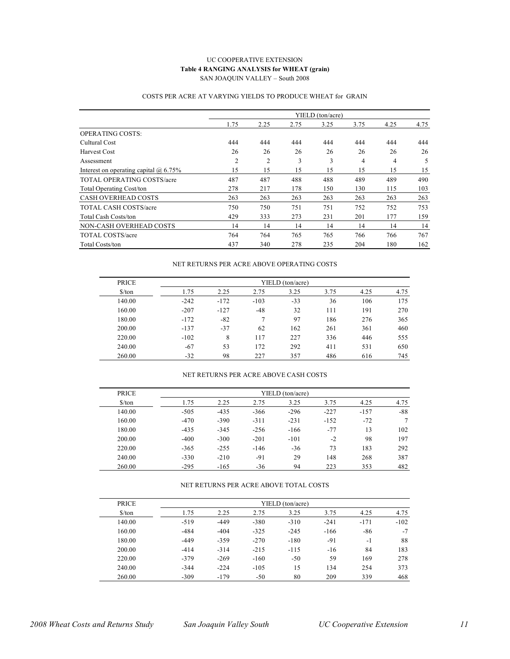#### UC COOPERATIVE EXTENSION **Table 4 RANGING ANALYSIS for WHEAT (grain)** SAN JOAQUIN VALLEY – South 2008

|                                              |                |                |      | YIELD (ton/acre) |      |      |      |
|----------------------------------------------|----------------|----------------|------|------------------|------|------|------|
|                                              | 1.75           | 2.25           | 2.75 | 3.25             | 3.75 | 4.25 | 4.75 |
| <b>OPERATING COSTS:</b>                      |                |                |      |                  |      |      |      |
| Cultural Cost                                | 444            | 444            | 444  | 444              | 444  | 444  | 444  |
| Harvest Cost                                 | 26             | 26             | 26   | 26               | 26   | 26   | 26   |
| Assessment                                   | $\overline{c}$ | $\overline{2}$ | 3    | 3                | 4    | 4    | 5    |
| Interest on operating capital $\omega$ 6.75% | 15             | 15             | 15   | 15               | 15   | 15   | 15   |
| <b>TOTAL OPERATING COSTS/acre</b>            | 487            | 487            | 488  | 488              | 489  | 489  | 490  |
| <b>Total Operating Cost/ton</b>              | 278            | 217            | 178  | 150              | 130  | 115  | 103  |
| <b>CASH OVERHEAD COSTS</b>                   | 263            | 263            | 263  | 263              | 263  | 263  | 263  |
| <b>TOTAL CASH COSTS/acre</b>                 | 750            | 750            | 751  | 751              | 752  | 752  | 753  |
| <b>Total Cash Costs/ton</b>                  | 429            | 333            | 273  | 231              | 201  | 177  | 159  |
| NON-CASH OVERHEAD COSTS                      | 14             | 14             | 14   | 14               | 14   | 14   | 14   |
| <b>TOTAL COSTS/acre</b>                      | 764            | 764            | 765  | 765              | 766  | 766  | 767  |
| <b>Total Costs/ton</b>                       | 437            | 340            | 278  | 235              | 204  | 180  | 162  |

#### COSTS PER ACRE AT VARYING YIELDS TO PRODUCE WHEAT for GRAIN

#### NET RETURNS PER ACRE ABOVE OPERATING COSTS

| <b>PRICE</b>         | YIELD (ton/acre) |        |        |       |      |      |      |  |  |  |  |
|----------------------|------------------|--------|--------|-------|------|------|------|--|--|--|--|
| $\frac{\sqrt{2}}{2}$ | 1.75             | 2.25   | 2.75   | 3.25  | 3.75 | 4.25 | 4.75 |  |  |  |  |
| 140.00               | $-242$           | $-172$ | $-103$ | $-33$ | 36   | 106  | 175  |  |  |  |  |
| 160.00               | $-207$           | $-127$ | -48    | 32    | 111  | 191  | 270  |  |  |  |  |
| 180.00               | $-172$           | $-82$  |        | 97    | 186  | 276  | 365  |  |  |  |  |
| 200.00               | $-137$           | $-37$  | 62     | 162   | 261  | 361  | 460  |  |  |  |  |
| 220.00               | $-102$           | 8      | 117    | 227   | 336  | 446  | 555  |  |  |  |  |
| 240.00               | $-67$            | 53     | 172    | 292   | 411  | 531  | 650  |  |  |  |  |
| 260.00               | $-32$            | 98     | 227    | 357   | 486  | 616  | 745  |  |  |  |  |

#### NET RETURNS PER ACRE ABOVE CASH COSTS

| <b>PRICE</b>                  | YIELD (ton/acre) |        |        |        |        |        |       |  |  |  |  |
|-------------------------------|------------------|--------|--------|--------|--------|--------|-------|--|--|--|--|
| $\frac{\text{S}}{\text{ton}}$ | 1.75             | 2.25   | 2.75   | 3.25   | 3.75   | 4.25   | 4.75  |  |  |  |  |
| 140.00                        | $-505$           | $-435$ | $-366$ | $-296$ | $-227$ | $-157$ | $-88$ |  |  |  |  |
| 160.00                        | $-470$           | $-390$ | $-311$ | $-231$ | $-152$ | $-72$  |       |  |  |  |  |
| 180.00                        | $-435$           | $-345$ | $-256$ | $-166$ | $-77$  | 13     | 102   |  |  |  |  |
| 200.00                        | $-400$           | $-300$ | $-201$ | $-101$ | $-2$   | 98     | 197   |  |  |  |  |
| 220.00                        | $-365$           | $-255$ | $-146$ | $-36$  | 73     | 183    | 292   |  |  |  |  |
| 240.00                        | $-330$           | $-210$ | $-91$  | 29     | 148    | 268    | 387   |  |  |  |  |
| 260.00                        | $-295$           | $-165$ | $-36$  | 94     | 223    | 353    | 482   |  |  |  |  |

#### NET RETURNS PER ACRE ABOVE TOTAL COSTS

| <b>PRICE</b>                  |        |        |        | YIELD (ton/acre) |        |        |        |
|-------------------------------|--------|--------|--------|------------------|--------|--------|--------|
| $\frac{\text{S}}{\text{top}}$ | 1.75   | 2.25   | 2.75   | 3.25             | 3.75   | 4.25   | 4.75   |
| 140.00                        | $-519$ | $-449$ | $-380$ | $-310$           | $-241$ | $-171$ | $-102$ |
| 160.00                        | $-484$ | $-404$ | $-325$ | $-245$           | $-166$ | $-86$  | $-7$   |
| 180.00                        | $-449$ | $-359$ | $-270$ | $-180$           | $-91$  | $-1$   | 88     |
| 200.00                        | $-414$ | $-314$ | $-215$ | $-115$           | $-16$  | 84     | 183    |
| 220.00                        | $-379$ | $-269$ | $-160$ | $-50$            | 59     | 169    | 278    |
| 240.00                        | $-344$ | $-224$ | $-105$ | 15               | 134    | 254    | 373    |
| 260.00                        | $-309$ | $-179$ | $-50$  | 80               | 209    | 339    | 468    |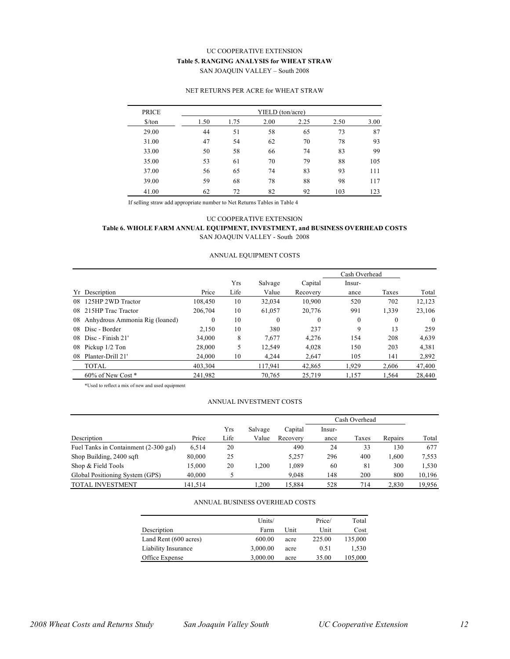#### UC COOPERATIVE EXTENSION **Table 5. RANGING ANALYSIS for WHEAT STRAW** SAN JOAQUIN VALLEY – South 2008

#### NET RETURNS PER ACRE for WHEAT STRAW

| <b>PRICE</b>         | YIELD (ton/acre) |      |      |      |      |      |  |
|----------------------|------------------|------|------|------|------|------|--|
| $\frac{\sqrt{2}}{2}$ | 1.50             | 1.75 | 2.00 | 2.25 | 2.50 | 3.00 |  |
| 29.00                | 44               | 51   | 58   | 65   | 73   | 87   |  |
| 31.00                | 47               | 54   | 62   | 70   | 78   | 93   |  |
| 33.00                | 50               | 58   | 66   | 74   | 83   | 99   |  |
| 35.00                | 53               | 61   | 70   | 79   | 88   | 105  |  |
| 37.00                | 56               | 65   | 74   | 83   | 93   | 111  |  |
| 39.00                | 59               | 68   | 78   | 88   | 98   | 117  |  |
| 41.00                | 62               | 72   | 82   | 92   | 103  | 123  |  |

If selling straw add appropriate number to Net Returns Tables in Table 4

#### UC COOPERATIVE EXTENSION **Table 6. WHOLE FARM ANNUAL EQUIPMENT, INVESTMENT, and BUSINESS OVERHEAD COSTS** SAN JOAQUIN VALLEY - South 2008

#### ANNUAL EQUIPMENT COSTS

|     |                                |              |      |         |              | Cash Overhead |              |          |  |
|-----|--------------------------------|--------------|------|---------|--------------|---------------|--------------|----------|--|
|     |                                |              | Yrs  | Salvage | Capital      | Insur-        |              |          |  |
| Yr  | Description                    | Price        | Life | Value   | Recovery     | ance          | Taxes        | Total    |  |
| 08  | 125HP 2WD Tractor              | 108,450      | 10   | 32,034  | 10,900       | 520           | 702          | 12,123   |  |
| 08. | 215HP Trac Tractor             | 206.704      | 10   | 61,057  | 20,776       | 991           | 1,339        | 23,106   |  |
| 08  | Anhydrous Ammonia Rig (loaned) | $\mathbf{0}$ | 10   | 0       | $\mathbf{0}$ | $\mathbf{0}$  | $\mathbf{0}$ | $\Omega$ |  |
| 08. | Disc - Border                  | 2.150        | 10   | 380     | 237          | 9             | 13           | 259      |  |
| 08  | Disc - Finish 21'              | 34,000       | 8    | 7,677   | 4,276        | 154           | 208          | 4,639    |  |
| 08  | Pickup 1/2 Ton                 | 28,000       | 5    | 12.549  | 4,028        | 150           | 203          | 4,381    |  |
| 08  | Planter-Drill 21'              | 24,000       | 10   | 4.244   | 2,647        | 105           | 141          | 2,892    |  |
|     | <b>TOTAL</b>                   | 403.304      |      | 117.941 | 42.865       | 1.929         | 2.606        | 47,400   |  |
|     | 60% of New Cost *              | 241,982      |      | 70,765  | 25.719       | 1,157         | 1.564        | 28,440   |  |

\*Used to reflect a mix of new and used equipment

#### ANNUAL INVESTMENT COSTS

|                                       |         |      |         |          |        | Cash Overhead |         |        |  |  |
|---------------------------------------|---------|------|---------|----------|--------|---------------|---------|--------|--|--|
|                                       |         | Yrs  | Salvage | Capital  | Insur- |               |         |        |  |  |
| Description                           | Price   | Life | Value   | Recovery | ance   | Taxes         | Repairs | Total  |  |  |
| Fuel Tanks in Containment (2-300 gal) | 6,514   | 20   |         | 490      | 24     | 33            | 130     | 677    |  |  |
| Shop Building, 2400 sqft              | 80,000  | 25   |         | 5.257    | 296    | 400           | 1.600   | 7.553  |  |  |
| Shop & Field Tools                    | 15.000  | 20   | 1.200   | .089     | 60     | 81            | 300     | 1,530  |  |  |
| Global Positioning System (GPS)       | 40,000  |      |         | 9.048    | 148    | 200           | 800     | 10,196 |  |  |
| <b>TOTAL INVESTMENT</b>               | 141.514 |      | .200    | 15.884   | 528    | 714           | 2.830   | 19.956 |  |  |

#### ANNUAL BUSINESS OVERHEAD COSTS

|                       | Units/   |      | Price/ | Total   |
|-----------------------|----------|------|--------|---------|
| Description           | Farm     | Unit | Unit   | Cost    |
| Land Rent (600 acres) | 600.00   | acre | 225.00 | 135,000 |
| Liability Insurance   | 3,000.00 | acre | 0.51   | 1.530   |
| Office Expense        | 3,000.00 | acre | 35.00  | 105,000 |